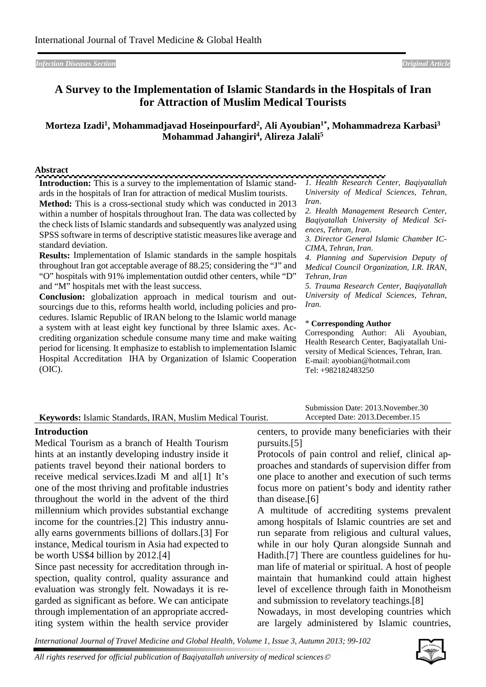*Infection Diseases Section Original Article*

# **A Survey to the Implementation of Islamic Standards in the Hospitals of Iran for Attraction of Muslim Medical Tourists**

## **Morteza Izadi1, Mohammadjavad Hoseinpourfard2, Ali Ayoubian1\*, Mohammadreza Karbasi3 Mohammad Jahangiri4, Alireza Jalali5**

#### **Abstract**

| vostract                                                                                                                                                                                                                                                                                                                                                                                                                                                                                                                                                                                                                                                                                                                                                                        |                                                                                                                                                                                                                                                                                                                                                                                         |
|---------------------------------------------------------------------------------------------------------------------------------------------------------------------------------------------------------------------------------------------------------------------------------------------------------------------------------------------------------------------------------------------------------------------------------------------------------------------------------------------------------------------------------------------------------------------------------------------------------------------------------------------------------------------------------------------------------------------------------------------------------------------------------|-----------------------------------------------------------------------------------------------------------------------------------------------------------------------------------------------------------------------------------------------------------------------------------------------------------------------------------------------------------------------------------------|
| <b>Introduction:</b> This is a survey to the implementation of Islamic stand-                                                                                                                                                                                                                                                                                                                                                                                                                                                                                                                                                                                                                                                                                                   | 1. Health Research Center, Baqiyatallah                                                                                                                                                                                                                                                                                                                                                 |
| ards in the hospitals of Iran for attraction of medical Muslim tourists.                                                                                                                                                                                                                                                                                                                                                                                                                                                                                                                                                                                                                                                                                                        | University of Medical Sciences, Tehran,                                                                                                                                                                                                                                                                                                                                                 |
| <b>Method:</b> This is a cross-sectional study which was conducted in 2013<br>within a number of hospitals throughout Iran. The data was collected by<br>the check lists of Islamic standards and subsequently was analyzed using<br>SPSS software in terms of descriptive statistic measures like average and<br>standard deviation.<br><b>Results:</b> Implementation of Islamic standards in the sample hospitals<br>throughout Iran got acceptable average of 88.25; considering the "J" and<br>"O" hospitals with 91% implementation outdid other centers, while "D"<br>and "M" hospitals met with the least success.<br><b>Conclusion:</b> globalization approach in medical tourism and out-<br>sourcings due to this, reforms health world, including policies and pro- | Iran.<br>2. Health Management Research Center,<br>Baqiyatallah University of Medical Sci-<br>ences, Tehran, Iran.<br>3. Director General Islamic Chamber IC-<br>CIMA, Tehran, Iran.<br>4. Planning and Supervision Deputy of<br>Medical Council Organization, I.R. IRAN,<br>Tehran, Iran<br>5. Trauma Research Center, Baqiyatallah<br>University of Medical Sciences, Tehran,<br>Iran. |
| cedures. Islamic Republic of IRAN belong to the Islamic world manage<br>a system with at least eight key functional by three Islamic axes. Ac-<br>crediting organization schedule consume many time and make waiting<br>period for licensing. It emphasize to establish to implementation Islamic<br>Hospital Accreditation IHA by Organization of Islamic Cooperation<br>(OIC).                                                                                                                                                                                                                                                                                                                                                                                                | * Corresponding Author<br>Corresponding Author: Ali Ayoubian,<br>Health Research Center, Baqiyatallah Uni-<br>versity of Medical Sciences, Tehran, Iran.<br>E-mail: ayoobian@hotmail.com<br>Tel: +982182483250                                                                                                                                                                          |

### **Keywords:** Islamic Standards, IRAN, Muslim Medical Tourist.

### **Introduction**

Medical Tourism as a branch of Health Tourism hints at an instantly developing industry inside it patients travel beyond their national borders to receive medical services.Izadi M and all Il It's one of the most thriving and profitable industries throughout the world in the advent of the third millennium which provides substantial exchange income for the countries.[\[2\]](#page-3-1) This industry annually earns governments billions of dollars.[\[3\]](#page-3-2) For instance, Medical tourism in Asia had expected to be worth US\$4 billion by 2012.[\[4\]](#page-3-3)

Since past necessity for accreditation through inspection, quality control, quality assurance and evaluation was strongly felt. Nowadays it is regarded as significant as before. We can anticipate through implementation of an appropriate accrediting system within the health service provider Submission Date: 2013.November.30 Accepted Date: 2013.December.15

centers, to provide many beneficiaries with their pursuits.[\[5\]](#page-3-4)

Protocols of pain control and relief, clinical approaches and standards of supervision differ from one place to another and execution of such terms focus more on patient's body and identity rather than disease.[\[6\]](#page-3-5)

A multitude of accrediting systems prevalent among hospitals of Islamic countries are set and run separate from religious and cultural values, while in our holy Quran alongside Sunnah and Hadith.[\[7\]](#page-3-6) There are countless guidelines for human life of material or spiritual. A host of people maintain that humankind could attain highest level of excellence through faith in Monotheism and submission to revelatory teachings.[\[8\]](#page-3-7)

Nowadays, in most developing countries which are largely administered by Islamic countries,

*International Journal of Travel Medicine and Global Health, Volume 1, Issue 3, Autumn 2013; 99-102*



*All rights reserved for official publication of Baqiyatallah university of medical sciences*©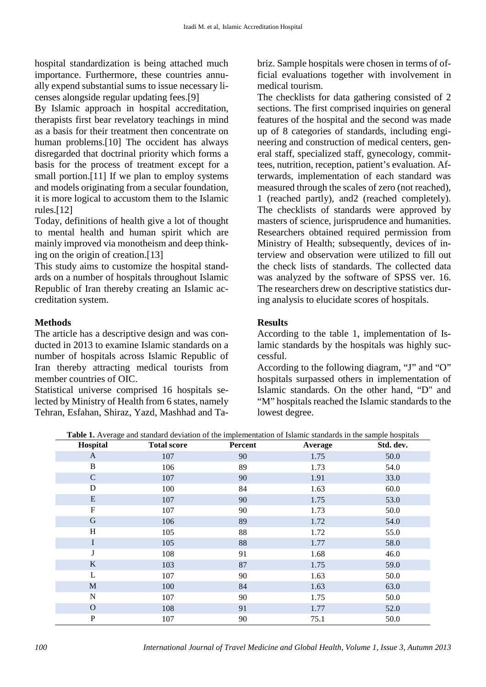hospital standardization is being attached much importance. Furthermore, these countries annually expend substantial sums to issue necessary licenses alongside regular updating fees.[\[9\]](#page-3-8)

By Islamic approach in hospital accreditation, therapists first bear revelatory teachings in mind as a basis for their treatment then concentrate on human problems.[\[10\]](#page-3-9) The occident has always disregarded that doctrinal priority which forms a basis for the process of treatment except for a small portion.[\[11\]](#page-3-10) If we plan to employ systems and models originating from a secular foundation, it is more logical to accustom them to the Islamic rules.[\[12\]](#page-3-11)

Today, definitions of health give a lot of thought to mental health and human spirit which are mainly improved via monotheism and deep thinking on the origin of creation.[\[13\]](#page-3-12)

This study aims to customize the hospital standards on a number of hospitals throughout Islamic Republic of Iran thereby creating an Islamic accreditation system.

### **Methods**

The article has a descriptive design and was conducted in 2013 to examine Islamic standards on a number of hospitals across Islamic Republic of Iran thereby attracting medical tourists from member countries of OIC.

Statistical universe comprised 16 hospitals selected by Ministry of Health from 6 states, namely Tehran, Esfahan, Shiraz, Yazd, Mashhad and Ta-

briz. Sample hospitals were chosen in terms of official evaluations together with involvement in medical tourism.

The checklists for data gathering consisted of 2 sections. The first comprised inquiries on general features of the hospital and the second was made up of 8 categories of standards, including engineering and construction of medical centers, general staff, specialized staff, gynecology, committees, nutrition, reception, patient's evaluation. Afterwards, implementation of each standard was measured through the scales of zero (not reached), 1 (reached partly), and2 (reached completely). The checklists of standards were approved by masters of science, jurisprudence and humanities. Researchers obtained required permission from Ministry of Health; subsequently, devices of interview and observation were utilized to fill out the check lists of standards. The collected data was analyzed by the software of SPSS ver. 16. The researchers drew on descriptive statistics during analysis to elucidate scores of hospitals.

### **Results**

According to the table 1, implementation of Islamic standards by the hospitals was highly successful.

According to the following diagram, "J" and "O" hospitals surpassed others in implementation of Islamic standards. On the other hand, "D" and "M" hospitals reached the Islamic standards to the lowest degree.

**Table 1.** Average and standard deviation of the implementation of Islamic standards in the sample hospitals

| Hospital     | <b>Total score</b> | Percent | Average | Std. dev. |
|--------------|--------------------|---------|---------|-----------|
| $\mathbf{A}$ | 107                | 90      | 1.75    | 50.0      |
| B            | 106                | 89      | 1.73    | 54.0      |
| $\mathsf C$  | 107                | 90      | 1.91    | 33.0      |
| D            | 100                | 84      | 1.63    | 60.0      |
| E            | 107                | 90      | 1.75    | 53.0      |
| ${\bf F}$    | 107                | 90      | 1.73    | 50.0      |
| G            | 106                | 89      | 1.72    | 54.0      |
| H            | 105                | 88      | 1.72    | 55.0      |
| I            | 105                | 88      | 1.77    | 58.0      |
| J            | 108                | 91      | 1.68    | 46.0      |
| $\bf K$      | 103                | 87      | 1.75    | 59.0      |
| L            | 107                | 90      | 1.63    | 50.0      |
| $\mathbf M$  | 100                | 84      | 1.63    | 63.0      |
| $\mathbf N$  | 107                | 90      | 1.75    | 50.0      |
| $\Omega$     | 108                | 91      | 1.77    | 52.0      |
| $\mathbf P$  | 107                | 90      | 75.1    | 50.0      |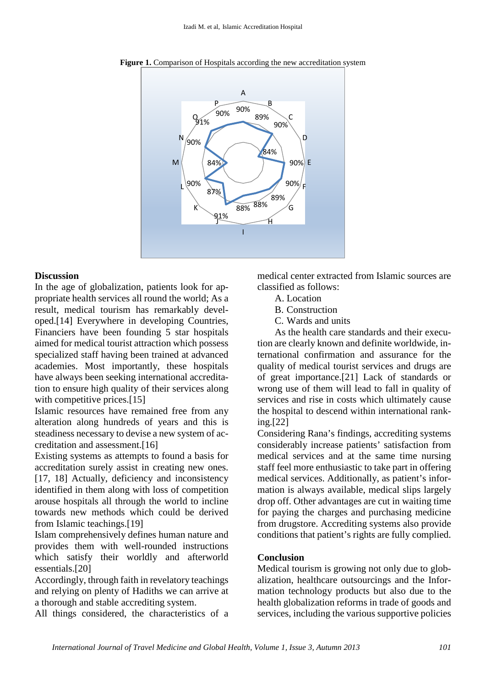

Figure 1. Comparison of Hospitals according the new accreditation system

### **Discussion**

In the age of globalization, patients look for appropriate health services all round the world; As a result, medical tourism has remarkably developed.[\[14\]](#page-3-13) Everywhere in developing Countries, Financiers have been founding 5 star hospitals aimed for medical tourist attraction which possess specialized staff having been trained at advanced academies. Most importantly, these hospitals have always been seeking international accreditation to ensure high quality of their services along with competitive prices.<sup>[\[15\]](#page-3-14)</sup>

Islamic resources have remained free from any alteration along hundreds of years and this is steadiness necessary to devise a new system of accreditation and assessment.[\[16\]](#page-3-15)

Existing systems as attempts to found a basis for accreditation surely assist in creating new ones. [\[17,](#page-3-16) [18\]](#page-3-17) Actually, deficiency and inconsistency identified in them along with loss of competition arouse hospitals all through the world to incline towards new methods which could be derived from Islamic teachings.[\[19\]](#page-3-18)

Islam comprehensively defines human nature and provides them with well-rounded instructions which satisfy their worldly and afterworld essentials.[\[20\]](#page-3-19)

Accordingly, through faith in revelatory teachings and relying on plenty of Hadiths we can arrive at a thorough and stable accrediting system.

All things considered, the characteristics of a

medical center extracted from Islamic sources are classified as follows:

- A. Location
- B. Construction
- C. Wards and units

As the health care standards and their execution are clearly known and definite worldwide, international confirmation and assurance for the quality of medical tourist services and drugs are of great importance.[\[21\]](#page-3-20) Lack of standards or wrong use of them will lead to fall in quality of services and rise in costs which ultimately cause the hospital to descend within international ranking.[\[22\]](#page-3-21)

Considering Rana's findings, accrediting systems considerably increase patients' satisfaction from medical services and at the same time nursing staff feel more enthusiastic to take part in offering medical services. Additionally, as patient's information is always available, medical slips largely drop off. Other advantages are cut in waiting time for paying the charges and purchasing medicine from drugstore. Accrediting systems also provide conditions that patient's rights are fully complied.

### **Conclusion**

Medical tourism is growing not only due to globalization, healthcare outsourcings and the Information technology products but also due to the health globalization reforms in trade of goods and services, including the various supportive policies